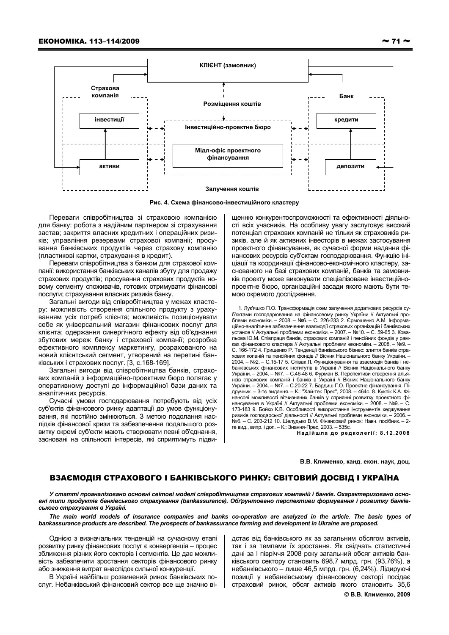

Рис. 4. Схема фінансово-інвестиційного кластеру

Переваги співробітництва зі страховою компанією для банку: робота з надійним партнером зі страхування застав; закриття власних кредитних і операційних ризиків; управління резервами страхової компанії; просування банківських продуктів через страхову компанію (пластикові картки, страхування в кредит).

Переваги співробітництва з банком для страхової компанії: використання банківських каналів збуту для продажу страхових продуктів; просування страхових продуктів новому сегменту споживачів, готових отримувати фінансові послуги; страхування власних ризиків банку.

Загальні вигоди від співробітництва у межах кластеру: можливість створення спільного продукту з урахуванням усіх потреб клієнта; можливість позиціонувати себе як універсальний магазин фінансових послуг для клієнта; одержання синергічного ефекту від об'єднання збутових мереж банку і страхової компанії; розробка ефективного комплексу маркетингу, розрахованого на новий клієнтський сегмент, утворений на перетині банківських і страхових послуг. [3, с. 168-169].

Загальні вигоди від співробітництва банків, страхових компаній з інформаційно-проектним бюро полягає у оперативному доступі до інформаційної бази даних та аналітичних ресурсів.

Сучасні умови господарювання потребують від усіх суб'єктів фінансового ринку адаптації до умов функціонування, які постійно змінюються. З метою подолання наслідків фінансової кризи та забезпечення подальшого розвитку окремі суб'єкти мають створювати певні об'єднання, засновані на спільності інтересів, які сприятимуть підвищенню конкурентоспроможності та ефективності діяльності всіх учасників. На особливу увагу заслуговує високий потенціал страхових компаній не тільки як страховиків ризиків, але й як активних інвесторів в межах застосування проектного фінансування, як сучасної форми надання фінансових ресурсів суб'єктам господарювання. Функцію ініціації та координації фінансово-економічного кластеру, заснованого на базі страхових компаній, банків та замовників проекту може виконувати спеціалізоване інвестиційнопроектне бюро, організаційні засади якого мають бути темою окремого дослідження.

1. Лук'яшко П.О. Трансформація схем залучення додаткових ресурсів суб'єктами господарювання на фінансовому ринку України // Актуальні про-<br>блеми економіки. – 2008. – №6. – С. 226-233 2. Єрмошенко А.М. Інформаційно-аналітичне забезпечення взаємодії страхових організацій і банківських установ // Актуальні проблеми економіки. - 2007. - №10. - С. 59-65 3. Кова-,<br>льова Ю.М. Співпраця банків, страхових компаній і пенсійних фондів у рамках фінансового кластера // Актуальні проблеми економіки. - 2008. - №9. -<br>С. 166-172 4. Грищенко Р. Тенденції банківського бізнес: злиття банків страхових копаній та пенсійних фондів // Вісник Національного банку України. -2004. – №2. – С.15-17 5. Співак Л. Функціонування та взаємодія банків і небанківських фінансових інститутів в Україні // Вісник Національного банку України. - 2004. - №7. - С.46-48 6. Фурман В. Перспективи створення альянсів страхових компаній і банків в Україні // Вісник Національного банку<br>України. – 2004. – №7. – С.20-22 7. Бардиш Г.О. Проектне фінансування. Підручник. – 3-те видання. – К.: "Хай-тек Прес", 2008. – 464с. 8. Куклік К.А. Фінансові можливості вітчизняних банків у сприянні розвитку проектного фінансування в Україні // Актуальні проблеми економіки. - 2008. - №9. - С. 173-183 9. Бойко К.В. Особливості використання інструментів хеджування ризиків господарської діяльності // Актуальні проблеми економіки. - 2006. меб. – С. 203-212 10. Шелудько В.М. Фінансовий ринок: Навч. посібник. – 2ге вид., випр. і доп. - К.: Знання-Прес, 2003. - 535с

Надійшла до редколегії: 8.12.2008

В.В. Клименко, канд. екон. наук. доц.

## ВЗАЄМОДІЯ СТРАХОВОГО І БАНКІВСЬКОГО РИНКУ: СВІТОВИЙ ДОСВІД І УКРАЇНА

У статті проаналізовано основні світові моделі співробітництва страхових компаній і банків. Охарактеризовано осноені типи продуктів банківського страхування (bankassurance). Обґрунтовано перспективи формування і розвитку банківського страхування в Україні.

The main world models of insurance companies and banks co-operation are analyzed in the article. The basic types of bankassurance products are described. The prospects of bankassurance forming and development in Ukraine are proposed.

Однією з визначальних тенденцій на сучасному етапі розвитку ринку фінансових послуг є конвергенція - процес зближення різних його секторів і сегментів. Це дає можливість забезпечити зростання секторів фінансового ринку або зниження витрат внаслідок сильної конкуренції.

В Україні найбільш розвинений ринок банківських послуг. Небанківський фінансовий сектор все ще значно ві-

дстає від банківського як за загальним обсягом активів, так і за темпами їх зростання. Як свідчать статистичні дані за І півріччя 2008 року загальний обсяг активів банківського сектору становить 698,7 млрд. грн. (93,76%), а небанківського - лише 46,5 млрд. грн. (6,24%). Лідируючі позиції у небанківському фінансовому секторі посідає страховий ринок, обсяг активів якого становить 35,6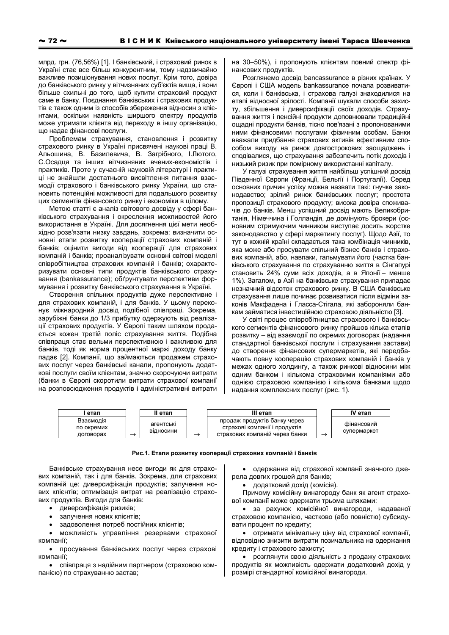млрд. грн. (76,56%) [1]. І банківський, і страховий ринок в Україні стає все більш конкурентним, тому надзвичайно важливе позиціонування нових послуг. Крім того, довіра до банківського ринку у вітчизняних суб'єктів вища, і вони більше схильні до того, щоб купити страховий продукт саме в банку. Посднання банківських і страхових продуктів є також одним із способів збереження відносин з клієнтами, оскільки наявність ширшого спектру продуктів може утримати клієнта від переходу в іншу організацію, що надає фінансові послуги.

Проблемам страхування, становлення і розвитку страхового ринку в Україні присвячені наукові праці В. Альошина, В. Базилевича, В. Загрібного, І.Лютого, С.Осадця та інших вітчизняних вчених-економістів і практиків. Проте у сучасній науковій літературі і практиці не знайшли достатнього висвітлення питання взаємодії страхового і банківського ринку України, що становить потенційні можливості для подальшого розвитку цих сегментів фінансового ринку і економіки в цілому.

Метою статті є аналіз світового досвіду у сфері банківського страхування і окреслення можливостей його використання в Україні. Для досягнення цієї мети необхідно розв'язати низку завдань, зокрема: визначити основні етапи розвитку кооперації страхових компаній і банків; оцінити вигоди від кооперації для страхових компаній і банків; проаналізувати основні світові моделі співробітництва страхових компаній і банків; охарактеризувати основні типи продуктів банківського страхування (bankassurance); обґрунтувати перспективи формування і розвитку банківського страхування в Україні.

Створення спільних продуктів дуже перспективне і для страхових компаній, і для банків. У цьому переконує міжнародний досвід подібної співпраці. Зокрема, зарубіжні банки до 1/3 прибутку одержують від реалізації страхових продуктів. У Європі таким шляхом продається кожен третій поліс страхування життя. Подібна співпраця стає вельми перспективною і важливою для банків, тоді як норма процентної маржі доходу банку падає [2]. Компанії, що займаються продажем страхових послуг через банківські канали, пропонують додаткові послуги своїм клієнтам, значно скорочуючи витрати (банки в Європі скоротили витрати страхової компанії на розповсюдження продуктів і адміністративні витрати на 30-50%), і пропонують клієнтам повний спектр фінансових продуктів.

Розглянемо досвід bancassurance в різних країнах. У Європі і США модель bankassurance почала розвиватися, коли і банківська, і страхова галузі знаходилися на етапі відносної зрілості. Компанії шукали способи захисту, збільшення і диверсифікації своїх доходів. Страхування життя і пенсійні продукти доповнювали традиційні ощадні продукти банків, тісно пов'язані з пропонованими ними фінансовими послугами фізичним особам. Банки вважали придбання страхових активів ефективним способом виходу на ринок довгострокових заощаджень і сподівалися, що страхування забезпечить потік доходів і низький ризик при помірному використанні капіталу.

У галузі страхування життя найбільш успішний досвід Південної Європи (Франції, Бельгії і Португалії). Серед основних причин успіху можна назвати такі: гнучке законодавство; зрілий ринок банківських послуг; простота пропозиції страхового продукту; висока довіра споживачів до банків. Менш успішний досвід мають Великобританія, Німеччина і Голландія, де домінують брокери (основним стримуючим чинником виступає досить жорстке законодавство у сфері маркетингу послуг). Щодо Азії, то тут в кожній країні складається така комбінація чинників. яка може або просувати спільний бізнес банків і страхових компаній, або, навпаки, гальмувати його (частка банківського страхування по страхуванню життя в Сінгапурі становить 24% суми всіх доходів, а в Японії - менше 1%). Загалом, в Азії на банківське страхування припадає незначний відсоток страхового ринку. В США банківське страхування лише починає розвиватися після відміни законів Макфадена і Гласса-Стігала, які забороняли банкам займатися інвестиційною страховою діяльністю [3].

У світі процес співробітництва страхового і банківського сегментів фінансового ринку пройшов кілька етапів розвитку - від взаємодії по окремих договорах (надання стандартної банківської послуги і страхування застави) до створення фінансових супермаркетів, які передбачають повну кооперацію страхових компаній і банків у межах одного холдингу, а також ринкові відносини між одним банком і кількома страховими компаніями або однією страховою компанією і кількома банками щодо надання комплексних послуг (рис. 1).



## Рис.1. Етапи розвитку кооперації страхових компаній і банків

Банківське страхування несе вигоди як для страхових компаній, так і для банків. Зокрема, для страхових компаній це: диверсифікація продуктів; залучення нових клієнтів; оптимізація витрат на реалізацію страхових продуктів. Вигоди для банків:

- диверсифікація ризиків;
- залучення нових клієнтів;
- задоволення потреб постійних клієнтів;

можливість управління резервами страхової компанії:

• просування банківських послуг через страхові компанії:

• співпраця з надійним партнером (страховою компанією) по страхуванню застав;

• одержання від страхової компанії значного джерела довгих грошей для банків:

• додатковий дохід (комісія).

Причому комісійну винагороду банк як агент страхової компанії може одержати трьома шляхами:

• за рахунок комісійної винагороди, надаваної страховою компанією, частково (або повністю) субсидувати процент по кредиту;

• отримати мінімальну ціну від страхової компанії, відповідно знизити витрати позичальника на одержання кредиту і страхового захисту;

• розглянути свою діяльність з продажу страхових продуктів як можливість одержати додатковий дохід у розмірі стандартної комісійної винагороди.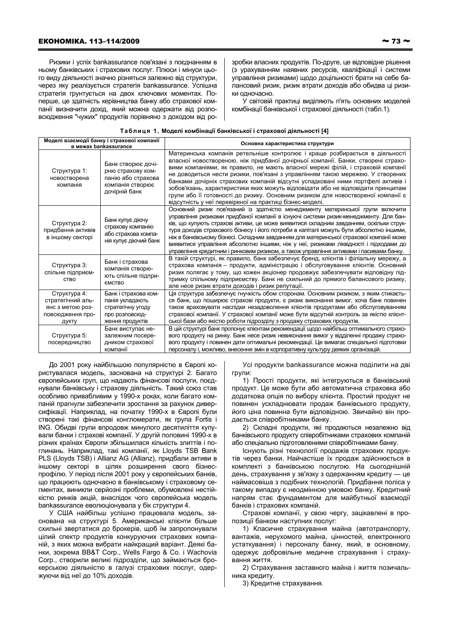Ризики і успіх bankassurance пов'язані з поєднанням в ньому банківських і страхових послуг. Плюси і мінуси цього виду діяльності значно різняться залежно від структури, через яку реалізується стратегія bankassurance. Успішна стратегія грунтується на двох ключових моментах. Поперше, це здатність керівництва банку або страхової компанії визначити дохід, який можна одержати від розповсюдження "чужих" продуктів порівняно з доходом від розробки власних продуктів. По-друге, це відповідне рішення (з урахуванням наявних ресурсів, кваліфікації і системи управління ризиками) щодо доцільності брати на себе балансовий ризик, ризик втрати доходів або обидва ці ризики одночасно.

У світовій практиці виділяють п'ять основних моделей комбінації банківської і страхової діяльності (табл.1).

| Таблиця 1. Моделі комбінації банківської і страхової діяльності [4] |  |  |
|---------------------------------------------------------------------|--|--|
|---------------------------------------------------------------------|--|--|

| Моделі взаємодії банку і страхової компанії<br>в межах bankassurance               |                                                                                                    | Основна характеристика структури                                                                                                                                                                                                                                                                                                                                                                                                                                                                                                                                                                                                                              |  |  |
|------------------------------------------------------------------------------------|----------------------------------------------------------------------------------------------------|---------------------------------------------------------------------------------------------------------------------------------------------------------------------------------------------------------------------------------------------------------------------------------------------------------------------------------------------------------------------------------------------------------------------------------------------------------------------------------------------------------------------------------------------------------------------------------------------------------------------------------------------------------------|--|--|
| Структура 1:<br>новостворена<br>компанія                                           | Банк створює дочі-<br>рню страхову ком-<br>панію або страхова<br>компанія створює<br>дочірній банк | Материнська компанія ретельніше контролює і краще розбирається в діяльності<br>власної новоствореною, ніж придбаної дочірньої компанії. Банки, створені страхо-<br>вими компаніями, як правило, не мають власної мережі філій, і страховій компанії<br>не доводиться нести ризики, пов'язані з управлінням такою мережею. У створених<br>банками дочірніх страхових компаній відсутні успадковані ними портфелі активів і<br>зобов'язань, характеристики яких можуть відповідати або не відповідати принципам<br>групи або її готовності до ризику. Основним ризиком для новоствореної компанії є<br>відсутність у неї перевіреної на практиці бізнес-моделі. |  |  |
| Структура 2:<br>придбання активів<br>в іншому секторі                              | Банк купує діючу<br>страхову компанію<br>або страхова компа-<br>нія купує діючий банк              | Основний ризик пов'язаний із здатністю менеджменту материнської групи включити<br>үправління ризиками придбаної компанії в існуючі системи ризик-менеджменту. Для бан-<br>ків, що купують страхові активи, це може виявитися складним завданням, оскільки струк-<br>тура доходів страхового бізнесу і його потреби в капіталі можуть бути абсолютно іншими,<br>ніж в банківському бізнесі. Складним завданням для материнської страхової компанії може<br>виявитися управління абсолютно іншими, ніж у неї, ризиками ліквідності і підходами до<br>управління кредитним і ринковим ризиком, а також управління активами і пасивами банку.                     |  |  |
| Структура 3:<br>спільне підприєм-<br><b>CTBO</b>                                   | Банк і страхова<br>компанія створю-<br>ють спільне підпри-<br><b>ЄМСТВО</b>                        | В такій структурі, як правило, банк забезпечує бренд, клієнтів і філіальну мережу, а<br>страхова компанія - продукти, адміністрацію і обслуговування клієнтів. Основний<br>ризик полягає у тому, що кожен акціонер продовжує забезпечувати відповідну під-<br>тримку спільному підприємству. Банк не схильний до прямого балансового ризику,<br>але несе ризик втрати доходів і ризик репутації.                                                                                                                                                                                                                                                              |  |  |
| Структура 4:<br>стратегічний аль-<br>янс з метою роз-<br>повсюдження про-<br>дукту | Банк і страхова ком-<br>панія укладають<br>стратегічну угоду<br>про розповсюд-<br>ження продуктів  | Ця структура забезпечує гнучкість обом сторонам. Основним ризиком, з яким стикаєть-<br>ся банк, що поширює страхові продукти, є ризик виконання вимог, хоча банк повинен<br>також враховувати наслідки незадоволення клієнтів продуктами або обслуговуванням<br>страхової компанії. У страхової компанії може бути відсутній контроль за якістю клієнт-<br>ської бази або якістю роботи підрозділу з продажу страхових продуктів.                                                                                                                                                                                                                             |  |  |
| Структура 5:<br>посередництво                                                      | Банк виступає не-<br>залежним посере-<br>дником страхової<br>компанії                              | В цій структурі банк пропонує клієнтам рекомендації щодо найбільш оптимального страхо-<br>вого продукту на ринку. Банк несе ризик невиконання вимог у відділенні продажу страхо-<br>вого продукту і повинен дати оптимальні рекомендації. Це вимагає спеціальної підготовки<br>персоналу і, можливо, внесення змін в корпоративну культуру деяких організацій.                                                                                                                                                                                                                                                                                                |  |  |

До 2001 року найбільшою популярністю в Європі користувалася модель, заснована на структурі 2. Багато європейських груп, що надають фінансові послуги, поєднували банківську і страхову діяльність. Такий союз став особливо привабливим у 1990-х роках, коли багато компаній прагнули забезпечити зростання за рахунок диверсифікації. Наприклад, на початку 1990-х в Європі були створені такі фінансові конгломерати, як група Fortis і ING. Обидві групи впродовж минулого десятиліття купували банки і страхові компанії. У другій половині 1990-х в різних країнах Європи збільшилася кількість злиттів і поглинань. Наприклад, такі компанії, як Llovds TSB Bank PLS (Lloyds TSB) і Allianz AG (Allianz), придбали активи в іншому секторі в цілях розширення свого бізнеспрофілю. У період після 2001 року у європейських банків. що працюють одночасно в банківському і страховому сегментах, виникли серйозні проблеми, обумовлені нестійкістю ринків акцій, внаслідок чого європейська модель bankassurance еволюціонувала у бік структури 4.

У США найбільш успішно працювала модель, заснована на структурі 5. Американські клієнти більше схильні звертатися до брокерів, щоб їм запропонували цілий спектр продуктів конкуруючих страхових компаній, з яких можна вибрати найкращий варіант. Деякі банки, зокрема BB&T Corp., Wells Fargo & Co. i Wachovia Согр., створили великі підрозділи, що займаються брокерською діяльністю в галузі страхових послуг, одержуючи від неї до 10% доходів.

Усі продукти bankassurance можна поділити на дві групи:

1) Прості продукти, які інтегруються в банківський продукт. Це може бути або автоматична страховка або додаткова опція по вибору клієнта. Простий продукт не повинен ускладнювати продаж банківського продукту, його ціна повинна бути відповідною. Звичайно він продається співробітниками банку.

2) Складні продукти, які продаються незалежно від банківського продукту співробітниками страхових компаній або спеціально підготовленими співробітниками банку.

Існують різні технології продажів страхових продуктів через банки. Найчастіше їх продаж здійснюється в комплекті з банківською послугою. На сьогоднішній день, страхування у зв'язку з одержанням кредиту - це наймасовіша з подібних технологій. Придбання поліса у такому випадку є неодмінною умовою банку. Кредитний напрям стає фундаментом для майбутньої взаємодії банків і страхових компаній.

Страхові компанії, у свою чергу, зацікавлені в пропозиції банком наступних послуг:

1) Класичне страхування майна (автотранспорту, вантажів, нерухомого майна, цінностей, електронного устаткування) і персоналу банку, який, в основному, одержує добровільне медичне страхування і страхування життя.

2) Страхування заставного майна і життя позичальника кредиту.

3) Кредитне страхування.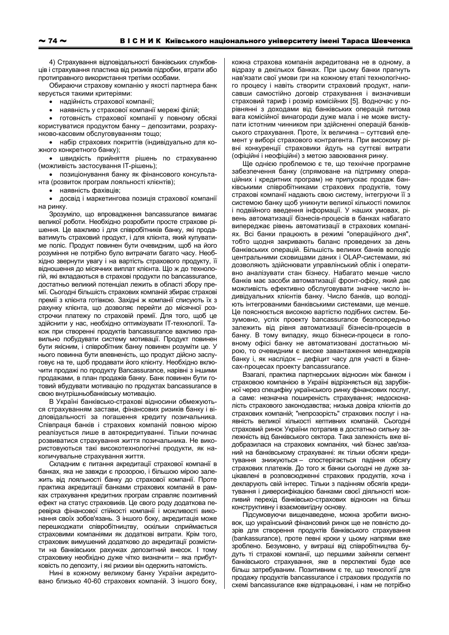4) Страхування відповідальності банківських службовців і страхування пластика від ризиків підробки, втрати або протиправного використання третіми особами.

Обираючи страхову компанію у якості партнера банк керується такими критеріями:

• надійність страхової компанії;

наявність у страхової компанії мережі філій;

готовність страхової компанії у повному обсязі користуватися продуктом банку - депозитами, розрахунково-касовим обслуговуванням тощо;

• набір страхових покриттів (індивідуально для кожного конкретного банку);

• швидкість прийняття рішень по страхуванню (можливість застосування IT-рішень);

• позиціонування банку як фінансового консультанта (розвиток програм лояльності клієнтів);

• наявність фахівців;

• досвід і маркетингова позиція страхової компанії на ринку.

Зрозуміло, що впровадження bancassurance вимагає великої роботи. Необхідно розробити просте страхове рішення. Це важливо і для співробітників банку, які продаватимуть страховий продукт, і для клієнта, який купуватиме поліс. Продукт повинен бути очевидним, щоб на його розуміння не потрібно було витрачати багато часу. Необхідно звернути увагу і на вартість страхового продукту, її відношення до місячних виплат клієнта. Що ж до технологій, які вкладаються в страхові продукти по bancassurance, достатньо великий потенціал лежить в області збору премії. Сьогодні більшість страхових компаній збирає страхові премії з клієнта готівкою. Західні ж компанії списують їх з рахунку клієнта, що дозволяє перейти до місячної розстрочки платежу по страховій премії. Для того, щоб це здійснити у нас, необхідно оптимізувати IT-технології. Також при створенні продуктів bancassurance важливо правильно побудувати систему мотивації. Продукт повинен бути якісним, і співробітник банку повинен розуміти це. У нього повинна бути впевненість, що продукт дійсно заслуговує на те, щоб продавати його клієнту. Необхідно включити продажі по продукту Bancassurance, нарівні з іншими продажами, в план продажів банку. Банк повинен бути готовий вбудувати мотивацію по продуктах bancassurance в свою внутрішньобанківську мотивацію.

В Україні банківсько-страхові відносини обмежуються страхуванням застави, фінансових ризиків банку і відповідальності за погашення кредиту позичальника. Співпраця банків і страхових компаній повною мірою реалізується лише в автокредитуванні. Тільки починає розвиватися страхування життя позичальника. Не використовуються такі високотехнологічні продукти, як накопичувальне страхування життя.

Складним є питання акредитації страхової компанії в банках, яка не завжди є прозорою, і більшою мірою залежить від лояльності банку до страхової компанії. Проте практика акредитації банками страхових компаній в рамках страхування кредитних програм справляє позитивний ефект на статус страховиків. Це свого роду додаткова перевірка фінансової стійкості компанії і можливості виконання своїх зобов'язань. З іншого боку, акредитація може перешкоджати співробітництву, оскільки сприймається страховими компаніями як додаткові витрати. Крім того, страховик вимушений додатково до акредитації розмістити на банківських рахунках депозитний внесок. І тому страховику необхідно дуже чітко визначити - яка прибутковість по депозиту, і які ризики він одержить натомість.

Нині в кожному великому банку України акредитовано близько 40-60 страхових компаній. З іншого боку, кожна страхова компанія акредитована не в одному, а відразу в декількох банках. При цьому банки прагнуть нав'язати свої умови гри на кожному етапі технологічного процесу і навіть створити страховий продукт, написавши самостійно договір страхування і визначивши страховий тариф і розмір комісійних [5]. Водночас у порівнянні з доходами від банківських операцій питома вага комісійної винагороди дуже мала і не може виступати істотним чинником при здійсненні операцій банківського страхування. Проте, їх величина - суттєвий елемент у виборі страхового контрагента. При високому рівні конкуренції страховики йдуть на суттєві витрати (офіційні і неофіційні) з метою завоювання ринку.

Ще однією проблемою є те, що технічне програмне забезпечення банку (спрямоване на підтримку операційних і кредитних програм) не припускає продаж банківськими співробітниками страхових продуктів, тому страхові компанії надають свою систему, інтегруючи її з системою банку щоб уникнути великої кількості помилок і подвійного введення інформації. У наших умовах, рівень автоматизації бізнесів-процесів в банках набагато випереджає рівень автоматизації в страхових компаніях. Всі банки працюють в режимі "операційного дня", тобто щодня закривають баланс проведених за день банківських операцій. Більшість великих банків володіє центральними сховищами даних і OLAP-системами, які дозволяють здійснювати управлінський облік і оперативно аналізувати стан бізнесу. Набагато менше число банків має засоби автоматизації фронт-офісу, який дає можливість ефективно обслуговувати значне число індивідуальних клієнтів банку. Число банків, що володіють інтегрованими банківськими системами, ще менше. Це пояснюється високою вартістю подібних систем. Безумовно, успіх проекту bancassurance безпосередньо залежить від рівня автоматизації бізнесів-процесів в банку. В тому випадку, якщо бізнеси-процеси в головному офісі банку не автоматизовані достатньою мірою, то очевидним є високе завантаження менеджерів банку і, як наслідок - дефіцит часу для участі в бізнесах-процесах проекту bancassurance.

Взагалі, практика партнерських відносин між банком і страховою компанією в Україні відрізняється від зарубіжної через специфіку українського ринку фінансових послуг, а саме: незначна поширеність страхування; недосконалість страхового законодавства; низька довіра клієнтів до страхових компаній; "непрозорість" страхових послуг і наявність великої кількості кептивних компаній. Сьогодні страховий ринок України потрапив в достатньо сильну залежність від банківського сектора. Така залежність вже відобразилася на страхових компаніях, чий бізнес зав'язаний на банківському страхуванні: як тільки обсяги кредитування знижуються - спостерігається падіння обсягу страхових платежів. До того ж банки сьогодні не дуже зацікавлені в розповсюдженні страхових продуктів, хоча і декларують свій інтерес. Тільки з падінням обсягів кредитування і диверсифікацією банками своєї діяльності можливий перехід банківсько-страхових відносин на більш конструктивну і взаємовигідну основу.

Підсумовуючи вищенаведене, можна зробити висновок, що український фінансовий ринок ще не повністю дозрів для створення продуктів банківського страхування (bankassurance), проте певні кроки у цьому напрями вже зроблено. Безумовно, у виграші від співробітництва будуть ті страхові компанії, що першими зайняли сегмент банківського страхування, яке в перспективі буде все більш затребуваним. Позитивним є те, що технології для продажу продуктів bancassurance і страхових продуктів по схемі bancassurance вже відпрацьовані, і нам не потрібно